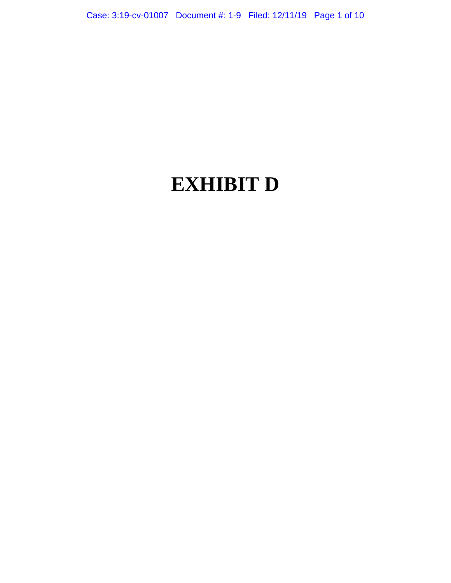# **EXHIBIT D**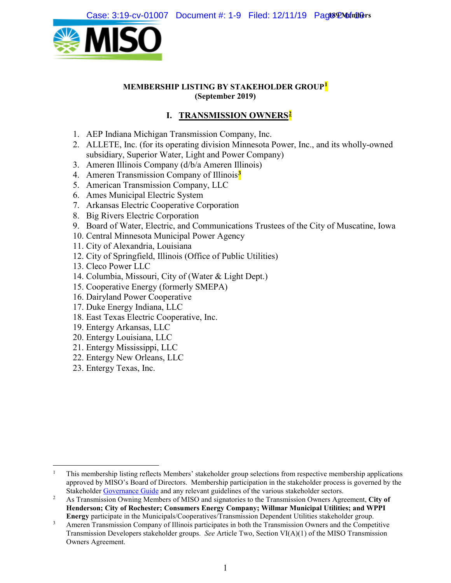

#### **MEMBERSHIP LISTING BY STAKEHOLDER GROUP[1](#page-1-0) (September 2019)**

# **I. TRANSMISSION OWNERS[2](#page-1-1)**

- 1. AEP Indiana Michigan Transmission Company, Inc.
- 2. ALLETE, Inc. (for its operating division Minnesota Power, Inc., and its wholly-owned subsidiary, Superior Water, Light and Power Company)
- 3. Ameren Illinois Company (d/b/a Ameren Illinois)
- 4. Ameren Transmission Company of Illinois**[3](#page-1-2)**
- 5. American Transmission Company, LLC
- 6. Ames Municipal Electric System
- 7. Arkansas Electric Cooperative Corporation
- 8. Big Rivers Electric Corporation
- 9. Board of Water, Electric, and Communications Trustees of the City of Muscatine, Iowa
- 10. Central Minnesota Municipal Power Agency
- 11. City of Alexandria, Louisiana
- 12. City of Springfield, Illinois (Office of Public Utilities)
- 13. Cleco Power LLC
- 14. Columbia, Missouri, City of (Water & Light Dept.)
- 15. Cooperative Energy (formerly SMEPA)
- 16. Dairyland Power Cooperative
- 17. Duke Energy Indiana, LLC
- 18. East Texas Electric Cooperative, Inc.
- 19. Entergy Arkansas, LLC
- 20. Entergy Louisiana, LLC
- 21. Entergy Mississippi, LLC
- 22. Entergy New Orleans, LLC
- 23. Entergy Texas, Inc.

<span id="page-1-0"></span><sup>&</sup>lt;sup>1</sup> This membership listing reflects Members' stakeholder group selections from respective membership applications approved by MISO's Board of Directors. Membership participation in the stakeholder process is governed by the Stakeholder Governance Guide and any relevant guidelines of the various stakeholder sectors.

<span id="page-1-1"></span><sup>&</sup>lt;sup>2</sup> As Transmission Owning Members of MISO and signatories to the Transmission Owners Agreement, City of **Henderson; City of Rochester; Consumers Energy Company; Willmar Municipal Utilities; and WPPI Energy** participate in the Municipals/Cooperatives/Transmission Dependent Utilities stakeholder group.

<span id="page-1-2"></span><sup>3</sup> Ameren Transmission Company of Illinois participates in both the Transmission Owners and the Competitive Transmission Developers stakeholder groups. *See* Article Two, Section VI(A)(1) of the MISO Transmission Owners Agreement.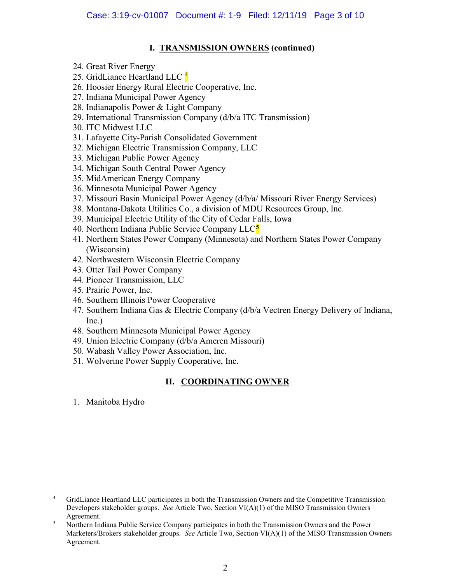#### **I. TRANSMISSION OWNERS (continued)**

- 24. Great River Energy
- 25. GridLiance Heartland LLC  $\frac{4}{3}$  $\frac{4}{3}$  $\frac{4}{3}$
- 26. Hoosier Energy Rural Electric Cooperative, Inc.
- 27. Indiana Municipal Power Agency
- 28. Indianapolis Power & Light Company
- 29. International Transmission Company (d/b/a ITC Transmission)
- 30. ITC Midwest LLC
- 31. Lafayette City-Parish Consolidated Government
- 32. Michigan Electric Transmission Company, LLC
- 33. Michigan Public Power Agency
- 34. Michigan South Central Power Agency
- 35. MidAmerican Energy Company
- 36. Minnesota Municipal Power Agency
- 37. Missouri Basin Municipal Power Agency (d/b/a/ Missouri River Energy Services)
- 38. Montana-Dakota Utilities Co., a division of MDU Resources Group, Inc.
- 39. Municipal Electric Utility of the City of Cedar Falls, Iowa
- 40. Northern Indiana Public Service Company LLC**[5](#page-2-1)**
- 41. Northern States Power Company (Minnesota) and Northern States Power Company (Wisconsin)
- 42. Northwestern Wisconsin Electric Company
- 43. Otter Tail Power Company
- 44. Pioneer Transmission, LLC
- 45. Prairie Power, Inc.
- 46. Southern Illinois Power Cooperative
- 47. Southern Indiana Gas & Electric Company (d/b/a Vectren Energy Delivery of Indiana, Inc.)
- 48. Southern Minnesota Municipal Power Agency
- 49. Union Electric Company (d/b/a Ameren Missouri)
- 50. Wabash Valley Power Association, Inc.
- 51. Wolverine Power Supply Cooperative, Inc.

# **II. COORDINATING OWNER**

1. Manitoba Hydro

<span id="page-2-0"></span> <sup>4</sup> GridLiance Heartland LLC participates in both the Transmission Owners and the Competitive Transmission Developers stakeholder groups. *See* Article Two, Section VI(A)(1) of the MISO Transmission Owners Agreement.

<span id="page-2-1"></span><sup>5</sup> Northern Indiana Public Service Company participates in both the Transmission Owners and the Power Marketers/Brokers stakeholder groups. *See* Article Two, Section VI(A)(1) of the MISO Transmission Owners Agreement.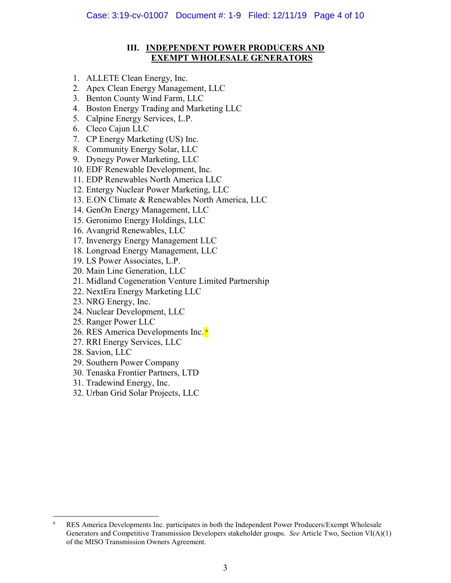#### **III. INDEPENDENT POWER PRODUCERS AND EXEMPT WHOLESALE GENERATORS**

- 1. ALLETE Clean Energy, Inc.
- 2. Apex Clean Energy Management, LLC
- 3. Benton County Wind Farm, LLC
- 4. Boston Energy Trading and Marketing LLC
- 5. Calpine Energy Services, L.P.
- 6. Cleco Cajun LLC
- 7. CP Energy Marketing (US) Inc.
- 8. Community Energy Solar, LLC
- 9. Dynegy Power Marketing, LLC
- 10. EDF Renewable Development, Inc.
- 11. EDP Renewables North America LLC
- 12. Entergy Nuclear Power Marketing, LLC
- 13. E.ON Climate & Renewables North America, LLC
- 14. GenOn Energy Management, LLC
- 15. Geronimo Energy Holdings, LLC
- 16. Avangrid Renewables, LLC
- 17. Invenergy Energy Management LLC
- 18. Longroad Energy Management, LLC
- 19. LS Power Associates, L.P.
- 20. Main Line Generation, LLC
- 21. Midland Cogeneration Venture Limited Partnership
- 22. NextEra Energy Marketing LLC
- 23. NRG Energy, Inc.
- 24. Nuclear Development, LLC
- 25. Ranger Power LLC
- 2[6](#page-3-0). RES America Developments Inc.<sup>6</sup>
- 27. RRI Energy Services, LLC
- 28. Savion, LLC
- 29. Southern Power Company
- 30. Tenaska Frontier Partners, LTD
- 31. Tradewind Energy, Inc.
- 32. Urban Grid Solar Projects, LLC

<span id="page-3-0"></span> <sup>6</sup> RES America Developments Inc. participates in both the Independent Power Producers/Exempt Wholesale Generators and Competitive Transmission Developers stakeholder groups. *See* Article Two, Section VI(A)(1) of the MISO Transmission Owners Agreement.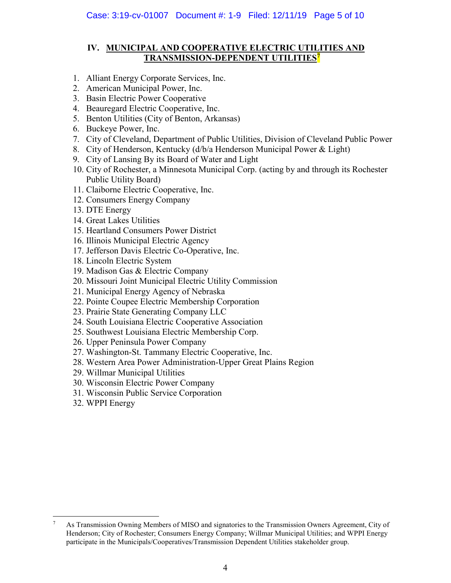#### **IV. MUNICIPAL AND COOPERATIVE ELECTRIC UTILITIES AND TRANSMISSION-DEPENDENT UTILITIES[7](#page-4-0)**

- 1. Alliant Energy Corporate Services, Inc.
- 2. American Municipal Power, Inc.
- 3. Basin Electric Power Cooperative
- 4. Beauregard Electric Cooperative, Inc.
- 5. Benton Utilities (City of Benton, Arkansas)
- 6. Buckeye Power, Inc.
- 7. City of Cleveland, Department of Public Utilities, Division of Cleveland Public Power
- 8. City of Henderson, Kentucky (d/b/a Henderson Municipal Power & Light)
- 9. City of Lansing By its Board of Water and Light
- 10. City of Rochester, a Minnesota Municipal Corp. (acting by and through its Rochester Public Utility Board)
- 11. Claiborne Electric Cooperative, Inc.
- 12. Consumers Energy Company
- 13. DTE Energy
- 14. Great Lakes Utilities
- 15. Heartland Consumers Power District
- 16. Illinois Municipal Electric Agency
- 17. Jefferson Davis Electric Co-Operative, Inc.
- 18. Lincoln Electric System
- 19. Madison Gas & Electric Company
- 20. Missouri Joint Municipal Electric Utility Commission
- 21. Municipal Energy Agency of Nebraska
- 22. Pointe Coupee Electric Membership Corporation
- 23. Prairie State Generating Company LLC
- 24. South Louisiana Electric Cooperative Association
- 25. Southwest Louisiana Electric Membership Corp.
- 26. Upper Peninsula Power Company
- 27. Washington-St. Tammany Electric Cooperative, Inc.
- 28. Western Area Power Administration-Upper Great Plains Region
- 29. Willmar Municipal Utilities
- 30. Wisconsin Electric Power Company
- 31. Wisconsin Public Service Corporation
- 32. WPPI Energy

<span id="page-4-0"></span> <sup>7</sup> As Transmission Owning Members of MISO and signatories to the Transmission Owners Agreement, City of Henderson; City of Rochester; Consumers Energy Company; Willmar Municipal Utilities; and WPPI Energy participate in the Municipals/Cooperatives/Transmission Dependent Utilities stakeholder group.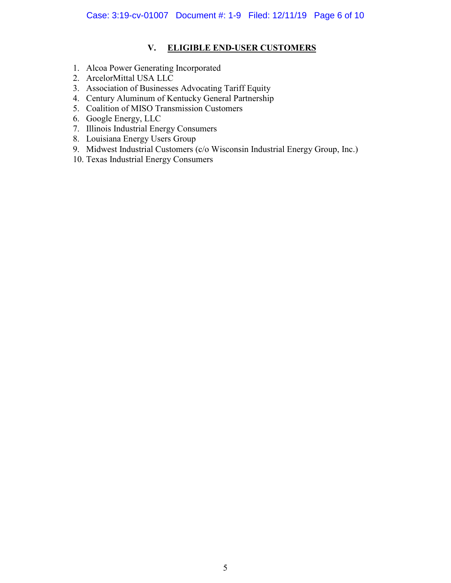#### **V. ELIGIBLE END-USER CUSTOMERS**

- 1. Alcoa Power Generating Incorporated
- 2. ArcelorMittal USA LLC
- 3. Association of Businesses Advocating Tariff Equity
- 4. Century Aluminum of Kentucky General Partnership
- 5. Coalition of MISO Transmission Customers
- 6. Google Energy, LLC
- 7. Illinois Industrial Energy Consumers
- 8. Louisiana Energy Users Group
- 9. Midwest Industrial Customers (c/o Wisconsin Industrial Energy Group, Inc.)
- 10. Texas Industrial Energy Consumers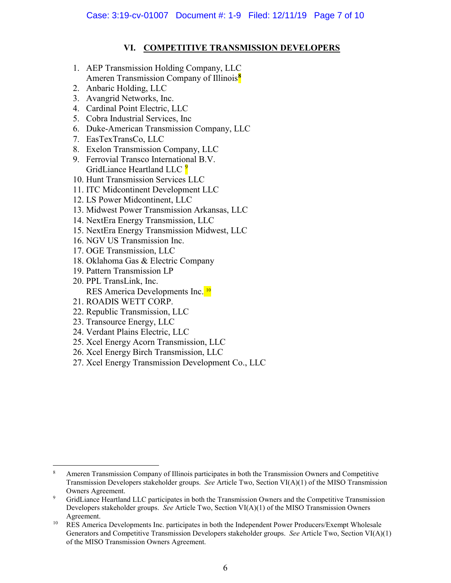#### **VI. COMPETITIVE TRANSMISSION DEVELOPERS**

- 1. AEP Transmission Holding Company, LLC Ameren Transmission Company of Illinois**[8](#page-6-0)**
- 2. Anbaric Holding, LLC
- 3. Avangrid Networks, Inc.
- 4. Cardinal Point Electric, LLC
- 5. Cobra Industrial Services, Inc
- 6. Duke-American Transmission Company, LLC
- 7. EasTexTransCo, LLC
- 8. Exelon Transmission Company, LLC
- 9. Ferrovial Transco International B.V. GridLiance Heartland LLC <sup>[9](#page-6-1)</sup>
- 10. Hunt Transmission Services LLC
- 11. ITC Midcontinent Development LLC
- 12. LS Power Midcontinent, LLC
- 13. Midwest Power Transmission Arkansas, LLC
- 14. NextEra Energy Transmission, LLC
- 15. NextEra Energy Transmission Midwest, LLC
- 16. NGV US Transmission Inc.
- 17. OGE Transmission, LLC
- 18. Oklahoma Gas & Electric Company
- 19. Pattern Transmission LP
- 20. PPL TransLink, Inc. RES America Developments Inc.<sup>[10](#page-6-2)</sup>
- 21. ROADIS WETT CORP.
- 22. Republic Transmission, LLC
- 23. Transource Energy, LLC
- 24. Verdant Plains Electric, LLC
- 25. Xcel Energy Acorn Transmission, LLC
- 26. Xcel Energy Birch Transmission, LLC
- 27. Xcel Energy Transmission Development Co., LLC

<span id="page-6-0"></span> <sup>8</sup> Ameren Transmission Company of Illinois participates in both the Transmission Owners and Competitive Transmission Developers stakeholder groups. *See* Article Two, Section VI(A)(1) of the MISO Transmission Owners Agreement.

<span id="page-6-1"></span><sup>9</sup> GridLiance Heartland LLC participates in both the Transmission Owners and the Competitive Transmission Developers stakeholder groups. *See* Article Two, Section VI(A)(1) of the MISO Transmission Owners Agreement.

<span id="page-6-2"></span><sup>&</sup>lt;sup>10</sup> RES America Developments Inc. participates in both the Independent Power Producers/Exempt Wholesale Generators and Competitive Transmission Developers stakeholder groups. *See* Article Two, Section VI(A)(1) of the MISO Transmission Owners Agreement.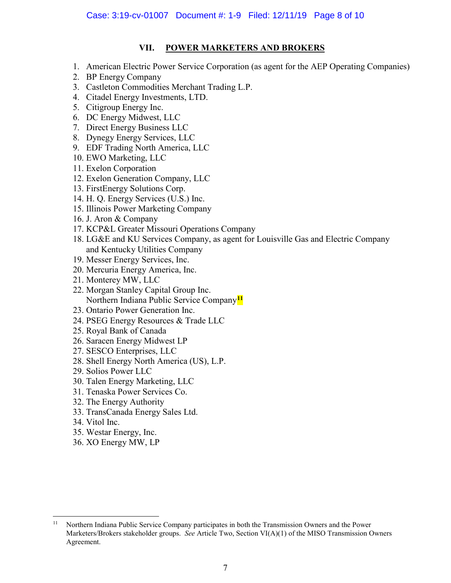### **VII. POWER MARKETERS AND BROKERS**

- 1. American Electric Power Service Corporation (as agent for the AEP Operating Companies)
- 2. BP Energy Company
- 3. Castleton Commodities Merchant Trading L.P.
- 4. Citadel Energy Investments, LTD.
- 5. Citigroup Energy Inc.
- 6. DC Energy Midwest, LLC
- 7. Direct Energy Business LLC
- 8. Dynegy Energy Services, LLC
- 9. EDF Trading North America, LLC
- 10. EWO Marketing, LLC
- 11. Exelon Corporation
- 12. Exelon Generation Company, LLC
- 13. FirstEnergy Solutions Corp.
- 14. H. Q. Energy Services (U.S.) Inc.
- 15. Illinois Power Marketing Company
- 16. J. Aron & Company
- 17. KCP&L Greater Missouri Operations Company
- 18. LG&E and KU Services Company, as agent for Louisville Gas and Electric Company and Kentucky Utilities Company
- 19. Messer Energy Services, Inc.
- 20. Mercuria Energy America, Inc.
- 21. Monterey MW, LLC
- 22. Morgan Stanley Capital Group Inc. Northern Indiana Public Service Company**[11](#page-7-0)**
- 23. Ontario Power Generation Inc.
- 24. PSEG Energy Resources & Trade LLC
- 25. Royal Bank of Canada
- 26. Saracen Energy Midwest LP
- 27. SESCO Enterprises, LLC
- 28. Shell Energy North America (US), L.P.
- 29. Solios Power LLC
- 30. Talen Energy Marketing, LLC
- 31. Tenaska Power Services Co.
- 32. The Energy Authority
- 33. TransCanada Energy Sales Ltd.
- 34. Vitol Inc.
- 35. Westar Energy, Inc.
- 36. XO Energy MW, LP

<span id="page-7-0"></span><sup>&</sup>lt;sup>11</sup> Northern Indiana Public Service Company participates in both the Transmission Owners and the Power Marketers/Brokers stakeholder groups. *See* Article Two, Section VI(A)(1) of the MISO Transmission Owners Agreement.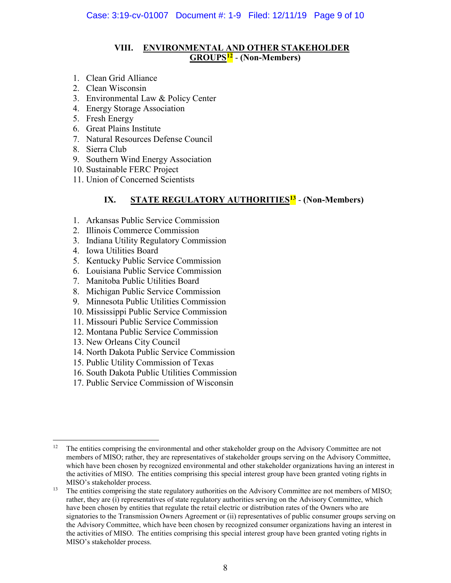#### **VIII. ENVIRONMENTAL AND OTHER STAKEHOLDER GROUPS[12](#page-8-0)** - **(Non-Members)**

- 1. Clean Grid Alliance
- 2. Clean Wisconsin
- 3. Environmental Law & Policy Center
- 4. Energy Storage Association
- 5. Fresh Energy
- 6. Great Plains Institute
- 7. Natural Resources Defense Council
- 8. Sierra Club
- 9. Southern Wind Energy Association
- 10. Sustainable FERC Project
- 11. Union of Concerned Scientists

# **IX. STATE REGULATORY AUTHORITIES[13](#page-8-1)** - **(Non-Members)**

- 1. Arkansas Public Service Commission
- 2. Illinois Commerce Commission
- 3. Indiana Utility Regulatory Commission
- 4. Iowa Utilities Board
- 5. Kentucky Public Service Commission
- 6. Louisiana Public Service Commission
- 7. Manitoba Public Utilities Board
- 8. Michigan Public Service Commission
- 9. Minnesota Public Utilities Commission
- 10. Mississippi Public Service Commission
- 11. Missouri Public Service Commission
- 12. Montana Public Service Commission
- 13. New Orleans City Council
- 14. North Dakota Public Service Commission
- 15. Public Utility Commission of Texas
- 16. South Dakota Public Utilities Commission
- 17. Public Service Commission of Wisconsin

<span id="page-8-0"></span> <sup>12</sup> The entities comprising the environmental and other stakeholder group on the Advisory Committee are not members of MISO; rather, they are representatives of stakeholder groups serving on the Advisory Committee, which have been chosen by recognized environmental and other stakeholder organizations having an interest in the activities of MISO. The entities comprising this special interest group have been granted voting rights in MISO's stakeholder process.

<span id="page-8-1"></span><sup>&</sup>lt;sup>13</sup> The entities comprising the state regulatory authorities on the Advisory Committee are not members of MISO; rather, they are (i) representatives of state regulatory authorities serving on the Advisory Committee, which have been chosen by entities that regulate the retail electric or distribution rates of the Owners who are signatories to the Transmission Owners Agreement or (ii) representatives of public consumer groups serving on the Advisory Committee, which have been chosen by recognized consumer organizations having an interest in the activities of MISO. The entities comprising this special interest group have been granted voting rights in MISO's stakeholder process.